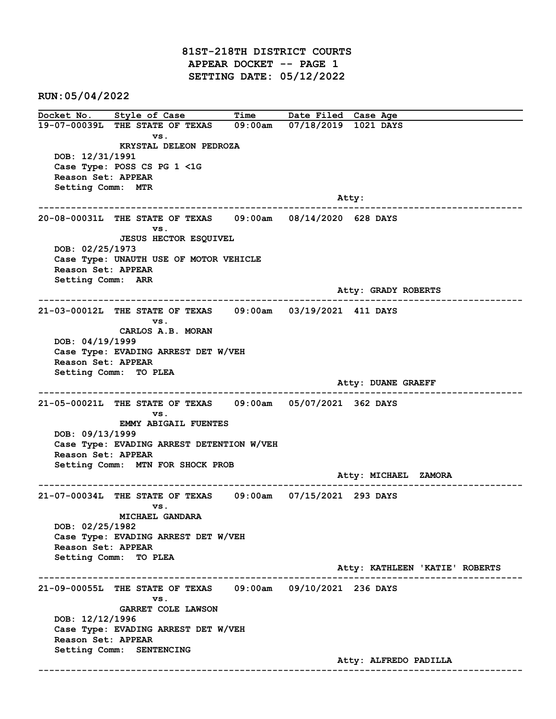81ST-218TH DISTRICT COURTS APPEAR DOCKET -- PAGE 1 SETTING DATE: 05/12/2022

RUN:05/04/2022

Docket No. Style of Case Time Date Filed Case Age 19-07-00039L THE STATE OF TEXAS 09:00am 07/18/2019 1021 DAYS vs. KRYSTAL DELEON PEDROZA DOB: 12/31/1991 Case Type: POSS CS PG 1 <1G Reason Set: APPEAR Setting Comm: MTR example of the contract of the contract of the contract of the contract of the contract of the contract of the contract of the contract of the contract of the contract of the contract of the contract of the contract of the ------------------------------------------------------------------------------------------------------------------------ 20-08-00031L THE STATE OF TEXAS 09:00am 08/14/2020 628 DAYS vs. JESUS HECTOR ESQUIVEL DOB: 02/25/1973 Case Type: UNAUTH USE OF MOTOR VEHICLE Reason Set: APPEAR Setting Comm: ARR Atty: GRADY ROBERTS ------------------------------------------------------------------------------------------------------------------------ 21-03-00012L THE STATE OF TEXAS 09:00am 03/19/2021 411 DAYS vs. CARLOS A.B. MORAN DOB: 04/19/1999 Case Type: EVADING ARREST DET W/VEH Reason Set: APPEAR Setting Comm: TO PLEA Atty: DUANE GRAEFF ------------------------------------------------------------------------------------------------------------------------ 21-05-00021L THE STATE OF TEXAS 09:00am 05/07/2021 362 DAYS vs. EMMY ABIGAIL FUENTES DOB: 09/13/1999 Case Type: EVADING ARREST DETENTION W/VEH Reason Set: APPEAR Setting Comm: MTN FOR SHOCK PROB Atty: MICHAEL ZAMORA ------------------------------------------------------------------------------------------------------------------------ 21-07-00034L THE STATE OF TEXAS 09:00am 07/15/2021 293 DAYS vs. MICHAEL GANDARA DOB: 02/25/1982 Case Type: EVADING ARREST DET W/VEH Reason Set: APPEAR Setting Comm: TO PLEA Atty: KATHLEEN 'KATIE' ROBERTS ------------------------------------------------------------------------------------------------------------------------ 21-09-00055L THE STATE OF TEXAS 09:00am 09/10/2021 236 DAYS vs. GARRET COLE LAWSON DOB: 12/12/1996 Case Type: EVADING ARREST DET W/VEH Reason Set: APPEAR Setting Comm: SENTENCING Atty: ALFREDO PADILLA ------------------------------------------------------------------------------------------------------------------------